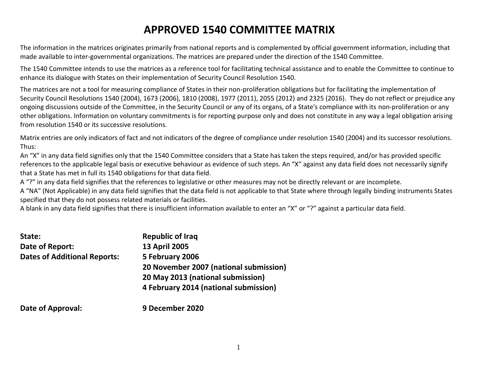# **APPROVED 1540 COMMITTEE MATRIX**

The information in the matrices originates primarily from national reports and is complemented by official government information, including that made available to inter-governmental organizations. The matrices are prepared under the direction of the 1540 Committee.

The 1540 Committee intends to use the matrices as a reference tool for facilitating technical assistance and to enable the Committee to continue to enhance its dialogue with States on their implementation of Security Council Resolution 1540.

The matrices are not a tool for measuring compliance of States in their non-proliferation obligations but for facilitating the implementation of Security Council Resolutions 1540 (2004), 1673 (2006), 1810 (2008), 1977 (2011), 2055 (2012) and 2325 (2016). They do not reflect or prejudice any ongoing discussions outside of the Committee, in the Security Council or any of its organs, of a State's compliance with its non-proliferation or any other obligations. Information on voluntary commitments is for reporting purpose only and does not constitute in any way a legal obligation arising from resolution 1540 or its successive resolutions.

Matrix entries are only indicators of fact and not indicators of the degree of compliance under resolution 1540 (2004) and its successor resolutions. Thus:

An "X" in any data field signifies only that the 1540 Committee considers that a State has taken the steps required, and/or has provided specific references to the applicable legal basis or executive behaviour as evidence of such steps. An "X" against any data field does not necessarily signify that a State has met in full its 1540 obligations for that data field.

A "?" in any data field signifies that the references to legislative or other measures may not be directly relevant or are incomplete.

A "NA" (Not Applicable) in any data field signifies that the data field is not applicable to that State where through legally binding instruments States specified that they do not possess related materials or facilities.

A blank in any data field signifies that there is insufficient information available to enter an "X" or "?" against a particular data field.

| State:                              | <b>Republic of Iraq</b>                |
|-------------------------------------|----------------------------------------|
| Date of Report:                     | <b>13 April 2005</b>                   |
| <b>Dates of Additional Reports:</b> | 5 February 2006                        |
|                                     | 20 November 2007 (national submission) |
|                                     | 20 May 2013 (national submission)      |
|                                     | 4 February 2014 (national submission)  |
| Date of Approval:                   | 9 December 2020                        |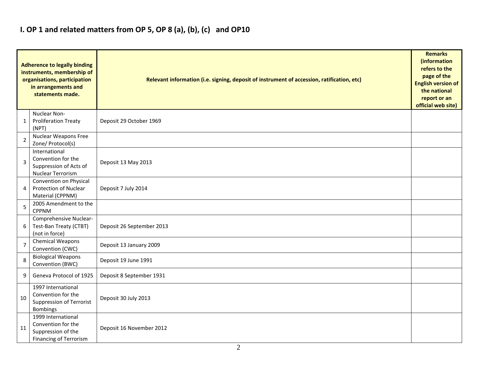## **I. OP 1 and related matters from OP 5, OP 8 (a), (b), (c) and OP10**

|                | <b>Adherence to legally binding</b><br>instruments, membership of<br>organisations, participation<br>in arrangements and<br>statements made. | Relevant information (i.e. signing, deposit of instrument of accession, ratification, etc) | <b>Remarks</b><br>(information<br>refers to the<br>page of the<br><b>English version of</b><br>the national<br>report or an<br>official web site) |
|----------------|----------------------------------------------------------------------------------------------------------------------------------------------|--------------------------------------------------------------------------------------------|---------------------------------------------------------------------------------------------------------------------------------------------------|
| 1              | Nuclear Non-<br><b>Proliferation Treaty</b><br>(NPT)                                                                                         | Deposit 29 October 1969                                                                    |                                                                                                                                                   |
| $\overline{2}$ | <b>Nuclear Weapons Free</b><br>Zone/ Protocol(s)                                                                                             |                                                                                            |                                                                                                                                                   |
| $\overline{3}$ | International<br>Convention for the<br>Suppression of Acts of<br><b>Nuclear Terrorism</b>                                                    | Deposit 13 May 2013                                                                        |                                                                                                                                                   |
| $\overline{4}$ | Convention on Physical<br>Protection of Nuclear<br>Material (CPPNM)                                                                          | Deposit 7 July 2014                                                                        |                                                                                                                                                   |
| 5              | 2005 Amendment to the<br><b>CPPNM</b>                                                                                                        |                                                                                            |                                                                                                                                                   |
| 6              | Comprehensive Nuclear-<br>Test-Ban Treaty (CTBT)<br>(not in force)                                                                           | Deposit 26 September 2013                                                                  |                                                                                                                                                   |
| $\overline{7}$ | Chemical Weapons<br>Convention (CWC)                                                                                                         | Deposit 13 January 2009                                                                    |                                                                                                                                                   |
| 8              | <b>Biological Weapons</b><br>Convention (BWC)                                                                                                | Deposit 19 June 1991                                                                       |                                                                                                                                                   |
| 9              | Geneva Protocol of 1925                                                                                                                      | Deposit 8 September 1931                                                                   |                                                                                                                                                   |
| 10             | 1997 International<br>Convention for the<br><b>Suppression of Terrorist</b><br><b>Bombings</b>                                               | Deposit 30 July 2013                                                                       |                                                                                                                                                   |
| 11             | 1999 International<br>Convention for the<br>Suppression of the<br><b>Financing of Terrorism</b>                                              | Deposit 16 November 2012                                                                   |                                                                                                                                                   |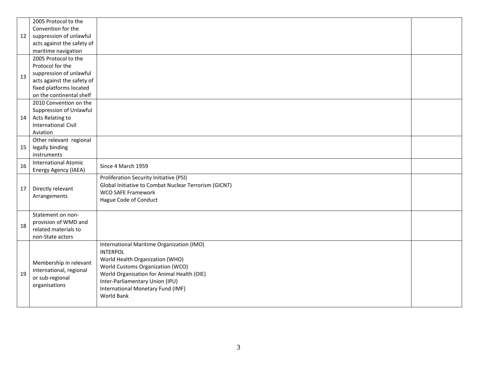|    | 2005 Protocol to the                      |                                                       |  |
|----|-------------------------------------------|-------------------------------------------------------|--|
|    | Convention for the                        |                                                       |  |
| 12 | suppression of unlawful                   |                                                       |  |
|    | acts against the safety of                |                                                       |  |
|    | maritime navigation                       |                                                       |  |
|    | 2005 Protocol to the                      |                                                       |  |
|    | Protocol for the                          |                                                       |  |
| 13 | suppression of unlawful                   |                                                       |  |
|    | acts against the safety of                |                                                       |  |
|    | fixed platforms located                   |                                                       |  |
|    | on the continental shelf                  |                                                       |  |
|    | 2010 Convention on the                    |                                                       |  |
|    | Suppression of Unlawful                   |                                                       |  |
| 14 | Acts Relating to                          |                                                       |  |
|    | <b>International Civil</b>                |                                                       |  |
|    | Aviation                                  |                                                       |  |
|    | Other relevant regional                   |                                                       |  |
| 15 | legally binding                           |                                                       |  |
|    | instruments                               |                                                       |  |
| 16 | <b>International Atomic</b>               | Since 4 March 1959                                    |  |
|    | <b>Energy Agency (IAEA)</b>               |                                                       |  |
|    |                                           | Proliferation Security Initiative (PSI)               |  |
| 17 | Directly relevant                         | Global Initiative to Combat Nuclear Terrorism (GICNT) |  |
|    | Arrangements                              | <b>WCO SAFE Framework</b>                             |  |
|    |                                           | Hague Code of Conduct                                 |  |
|    |                                           |                                                       |  |
|    | Statement on non-<br>provision of WMD and |                                                       |  |
| 18 | related materials to                      |                                                       |  |
|    | non-State actors                          |                                                       |  |
|    |                                           | International Maritime Organization (IMO)             |  |
|    |                                           | <b>INTERPOL</b>                                       |  |
|    |                                           | World Health Organization (WHO)                       |  |
|    | Membership in relevant                    | World Customs Organization (WCO)                      |  |
| 19 | international, regional                   | World Organisation for Animal Health (OIE)            |  |
|    | or sub-regional                           | Inter-Parliamentary Union (IPU)                       |  |
|    | organisations                             | International Monetary Fund (IMF)                     |  |
|    |                                           | World Bank                                            |  |
|    |                                           |                                                       |  |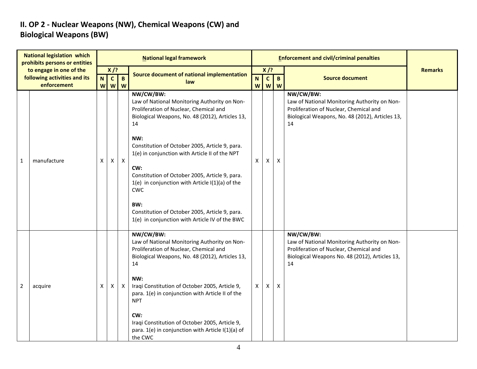### **II. OP 2 - Nuclear Weapons (NW), Chemical Weapons (CW) and Biological Weapons (BW)**

|                                                         | <b>National legislation which</b><br>prohibits persons or entities |    |                                             |              | <b>National legal framework</b>                                                                                                                                                                                                                                                                                                                                                                                                                                                                                |                     |                        |              | <b>Enforcement and civil/criminal penalties</b>                                                                                                              |                |
|---------------------------------------------------------|--------------------------------------------------------------------|----|---------------------------------------------|--------------|----------------------------------------------------------------------------------------------------------------------------------------------------------------------------------------------------------------------------------------------------------------------------------------------------------------------------------------------------------------------------------------------------------------------------------------------------------------------------------------------------------------|---------------------|------------------------|--------------|--------------------------------------------------------------------------------------------------------------------------------------------------------------|----------------|
| to engage in one of the<br>following activities and its |                                                                    |    | $X$ /?<br>$\mathbf{c}$<br>$\mathbf{B}$<br>N |              | Source document of national implementation                                                                                                                                                                                                                                                                                                                                                                                                                                                                     |                     | $X$ /?<br>$\mathbf{C}$ | $\mathbf{B}$ | <b>Source document</b>                                                                                                                                       | <b>Remarks</b> |
|                                                         | enforcement                                                        |    | <b>W</b><br>W                               | W            | law                                                                                                                                                                                                                                                                                                                                                                                                                                                                                                            | N<br>W <sub>l</sub> |                        | $W$ $W$      |                                                                                                                                                              |                |
| $\mathbf{1}$                                            | manufacture                                                        | X. | Χ                                           | $\mathsf{X}$ | NW/CW/BW:<br>Law of National Monitoring Authority on Non-<br>Proliferation of Nuclear, Chemical and<br>Biological Weapons, No. 48 (2012), Articles 13,<br>14<br>NW:<br>Constitution of October 2005, Article 9, para.<br>1(e) in conjunction with Article II of the NPT<br>CW:<br>Constitution of October 2005, Article 9, para.<br>$1(e)$ in conjunction with Article I(1)(a) of the<br><b>CWC</b><br>BW:<br>Constitution of October 2005, Article 9, para.<br>1(e) in conjunction with Article IV of the BWC | X.                  | X                      | X            | NW/CW/BW:<br>Law of National Monitoring Authority on Non-<br>Proliferation of Nuclear, Chemical and<br>Biological Weapons, No. 48 (2012), Articles 13,<br>14 |                |
| $\overline{2}$                                          | acquire                                                            | X. | X                                           | $\mathsf{X}$ | NW/CW/BW:<br>Law of National Monitoring Authority on Non-<br>Proliferation of Nuclear, Chemical and<br>Biological Weapons, No. 48 (2012), Articles 13,<br>14<br>NW:<br>Iraqi Constitution of October 2005, Article 9,<br>para. 1(e) in conjunction with Article II of the<br><b>NPT</b><br>CW:<br>Iraqi Constitution of October 2005, Article 9,<br>para. 1(e) in conjunction with Article I(1)(a) of<br>the CWC                                                                                               | $\mathsf{X}^-$      | Χ                      | X            | NW/CW/BW:<br>Law of National Monitoring Authority on Non-<br>Proliferation of Nuclear, Chemical and<br>Biological Weapons No. 48 (2012), Articles 13,<br>14  |                |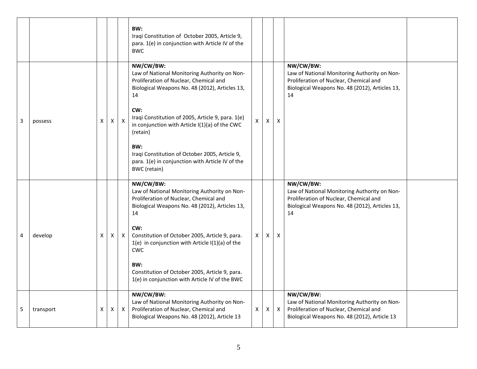|   |           |   |                |              | BW:<br>Iraqi Constitution of October 2005, Article 9,<br>para. 1(e) in conjunction with Article IV of the<br><b>BWC</b>                                     |                |   |              |                                                                                                                                                             |  |
|---|-----------|---|----------------|--------------|-------------------------------------------------------------------------------------------------------------------------------------------------------------|----------------|---|--------------|-------------------------------------------------------------------------------------------------------------------------------------------------------------|--|
|   |           |   |                |              | NW/CW/BW:<br>Law of National Monitoring Authority on Non-<br>Proliferation of Nuclear, Chemical and<br>Biological Weapons No. 48 (2012), Articles 13,<br>14 |                |   |              | NW/CW/BW:<br>Law of National Monitoring Authority on Non-<br>Proliferation of Nuclear, Chemical and<br>Biological Weapons No. 48 (2012), Articles 13,<br>14 |  |
| 3 | possess   | X | $\mathsf{X}^-$ | $\mathsf{X}$ | CW:<br>Iraqi Constitution of 2005, Article 9, para. 1(e)<br>in conjunction with Article I(1)(a) of the CWC<br>(retain)                                      | $\mathsf{X}$   | X | X            |                                                                                                                                                             |  |
|   |           |   |                |              | BW:<br>Iraqi Constitution of October 2005, Article 9,<br>para. 1(e) in conjunction with Article IV of the<br><b>BWC</b> (retain)                            |                |   |              |                                                                                                                                                             |  |
|   |           |   |                |              | NW/CW/BW:<br>Law of National Monitoring Authority on Non-<br>Proliferation of Nuclear, Chemical and<br>Biological Weapons No. 48 (2012), Articles 13,<br>14 |                |   |              | NW/CW/BW:<br>Law of National Monitoring Authority on Non-<br>Proliferation of Nuclear, Chemical and<br>Biological Weapons No. 48 (2012), Articles 13,<br>14 |  |
| 4 | develop   | x | X              | X            | CW:<br>Constitution of October 2005, Article 9, para.<br>$1(e)$ in conjunction with Article I(1)(a) of the<br><b>CWC</b>                                    | $\mathsf{X}^-$ | X | X            |                                                                                                                                                             |  |
|   |           |   |                |              | BW:<br>Constitution of October 2005, Article 9, para.<br>1(e) in conjunction with Article IV of the BWC                                                     |                |   |              |                                                                                                                                                             |  |
| 5 | transport | X | X              | $\mathsf{X}$ | NW/CW/BW:<br>Law of National Monitoring Authority on Non-<br>Proliferation of Nuclear, Chemical and<br>Biological Weapons No. 48 (2012), Article 13         | $\mathsf{X}$   | X | $\mathsf{X}$ | NW/CW/BW:<br>Law of National Monitoring Authority on Non-<br>Proliferation of Nuclear, Chemical and<br>Biological Weapons No. 48 (2012), Article 13         |  |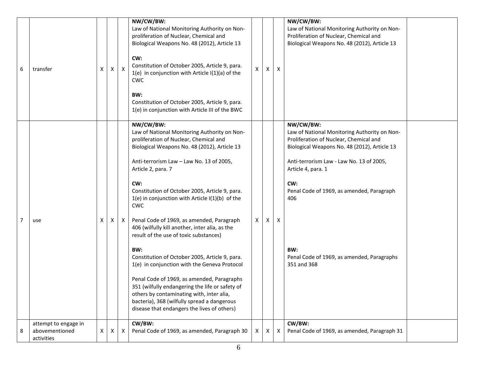| 6              | transfer                                             | х | X | X | NW/CW/BW:<br>Law of National Monitoring Authority on Non-<br>proliferation of Nuclear, Chemical and<br>Biological Weapons No. 48 (2012), Article 13<br>CW:<br>Constitution of October 2005, Article 9, para.<br>$1(e)$ in conjunction with Article I(1)(a) of the<br><b>CWC</b><br>BW:<br>Constitution of October 2005, Article 9, para.<br>1(e) in conjunction with Article III of the BWC                                                                                                                                                                                                                                                                                                                                                                                                                                                     | X            | X | X | NW/CW/BW:<br>Law of National Monitoring Authority on Non-<br>Proliferation of Nuclear, Chemical and<br>Biological Weapons No. 48 (2012), Article 13                                                                                                                                                                                                  |  |
|----------------|------------------------------------------------------|---|---|---|-------------------------------------------------------------------------------------------------------------------------------------------------------------------------------------------------------------------------------------------------------------------------------------------------------------------------------------------------------------------------------------------------------------------------------------------------------------------------------------------------------------------------------------------------------------------------------------------------------------------------------------------------------------------------------------------------------------------------------------------------------------------------------------------------------------------------------------------------|--------------|---|---|------------------------------------------------------------------------------------------------------------------------------------------------------------------------------------------------------------------------------------------------------------------------------------------------------------------------------------------------------|--|
| $\overline{7}$ | use                                                  | X | X | X | NW/CW/BW:<br>Law of National Monitoring Authority on Non-<br>proliferation of Nuclear, Chemical and<br>Biological Weapons No. 48 (2012), Article 13<br>Anti-terrorism Law - Law No. 13 of 2005,<br>Article 2, para. 7<br>CW:<br>Constitution of October 2005, Article 9, para.<br>$1(e)$ in conjunction with Article I(1)(b) of the<br><b>CWC</b><br>Penal Code of 1969, as amended, Paragraph<br>406 (wilfully kill another, inter alia, as the<br>result of the use of toxic substances)<br>BW:<br>Constitution of October 2005, Article 9, para.<br>1(e) in conjunction with the Geneva Protocol<br>Penal Code of 1969, as amended, Paragraphs<br>351 (wilfully endangering the life or safety of<br>others by contaminating with, inter alia,<br>bacteria), 368 (wilfully spread a dangerous<br>disease that endangers the lives of others) | $\mathsf{X}$ | X | Χ | NW/CW/BW:<br>Law of National Monitoring Authority on Non-<br>Proliferation of Nuclear, Chemical and<br>Biological Weapons No. 48 (2012), Article 13<br>Anti-terrorism Law - Law No. 13 of 2005,<br>Article 4, para. 1<br>CW:<br>Penal Code of 1969, as amended, Paragraph<br>406<br>BW:<br>Penal Code of 1969, as amended, Paragraphs<br>351 and 368 |  |
| 8              | attempt to engage in<br>abovementioned<br>activities | X | X | X | CW/BW:<br>Penal Code of 1969, as amended, Paragraph 30                                                                                                                                                                                                                                                                                                                                                                                                                                                                                                                                                                                                                                                                                                                                                                                          | X            | X | X | CW/BW:<br>Penal Code of 1969, as amended, Paragraph 31                                                                                                                                                                                                                                                                                               |  |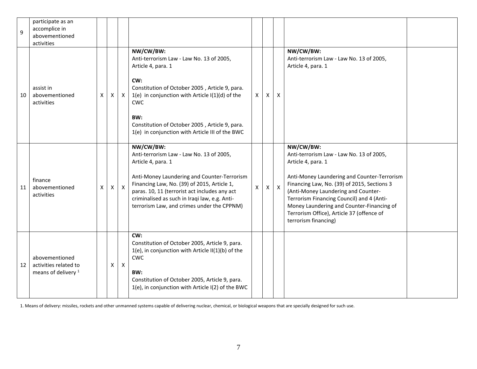| 9  | participate as an<br>accomplice in<br>abovementioned<br>activities        |    |   |              |                                                                                                                                                                                                                                                                                                                           |                |              |              |                                                                                                                                                                                                                                                                                                                                                                                 |  |
|----|---------------------------------------------------------------------------|----|---|--------------|---------------------------------------------------------------------------------------------------------------------------------------------------------------------------------------------------------------------------------------------------------------------------------------------------------------------------|----------------|--------------|--------------|---------------------------------------------------------------------------------------------------------------------------------------------------------------------------------------------------------------------------------------------------------------------------------------------------------------------------------------------------------------------------------|--|
| 10 | assist in<br>abovementioned<br>activities                                 | X. | X | $\mathsf{X}$ | NW/CW/BW:<br>Anti-terrorism Law - Law No. 13 of 2005,<br>Article 4, para. 1<br>CW:<br>Constitution of October 2005, Article 9, para.<br>$1(e)$ in conjunction with Article I(1)(d) of the<br><b>CWC</b><br>BW:<br>Constitution of October 2005, Article 9, para.<br>1(e) in conjunction with Article III of the BWC       | X              | X            | X            | NW/CW/BW:<br>Anti-terrorism Law - Law No. 13 of 2005,<br>Article 4, para. 1                                                                                                                                                                                                                                                                                                     |  |
| 11 | finance<br>abovementioned<br>activities                                   | X. | Χ | $\mathsf{X}$ | NW/CW/BW:<br>Anti-terrorism Law - Law No. 13 of 2005,<br>Article 4, para. 1<br>Anti-Money Laundering and Counter-Terrorism<br>Financing Law, No. (39) of 2015, Article 1,<br>paras. 10, 11 (terrorist act includes any act<br>criminalised as such in Iraqi law, e.g. Anti-<br>terrorism Law, and crimes under the CPPNM) | $\mathsf{X}^-$ | $\mathsf{X}$ | $\mathsf{X}$ | NW/CW/BW:<br>Anti-terrorism Law - Law No. 13 of 2005,<br>Article 4, para. 1<br>Anti-Money Laundering and Counter-Terrorism<br>Financing Law, No. (39) of 2015, Sections 3<br>(Anti-Money Laundering and Counter-<br>Terrorism Financing Council) and 4 (Anti-<br>Money Laundering and Counter-Financing of<br>Terrorism Office), Article 37 (offence of<br>terrorism financing) |  |
| 12 | abovementioned<br>activities related to<br>means of delivery <sup>1</sup> |    | X | $\mathsf{X}$ | CW:<br>Constitution of October 2005, Article 9, para.<br>1(e), in conjunction with Article II(1)(b) of the<br><b>CWC</b><br>BW:<br>Constitution of October 2005, Article 9, para.<br>1(e), in conjunction with Article I(2) of the BWC                                                                                    |                |              |              |                                                                                                                                                                                                                                                                                                                                                                                 |  |

1. Means of delivery: missiles, rockets and other unmanned systems capable of delivering nuclear, chemical, or biological weapons that are specially designed for such use.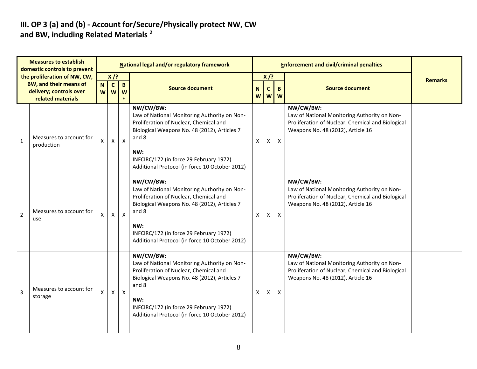#### **III. OP 3 (a) and (b) - Account for/Secure/Physically protect NW, CW and BW, including Related Materials <sup>2</sup>**

| <b>Measures to establish</b><br>domestic controls to prevent |                                                                                                               |   | <b>National legal and/or regulatory framework</b>  |                   |                                                                                                                                                                                                                                                                  |   |                                                                             |              | <b>Enforcement and civil/criminal penalties</b>                                                                                                     |                |  |  |  |
|--------------------------------------------------------------|---------------------------------------------------------------------------------------------------------------|---|----------------------------------------------------|-------------------|------------------------------------------------------------------------------------------------------------------------------------------------------------------------------------------------------------------------------------------------------------------|---|-----------------------------------------------------------------------------|--------------|-----------------------------------------------------------------------------------------------------------------------------------------------------|----------------|--|--|--|
|                                                              | the proliferation of NW, CW,<br><b>BW, and their means of</b><br>delivery; controls over<br>related materials |   | $X$ /?<br>$\mathbf{C}$<br>N<br>W<br>W <sub>l</sub> | $\mathbf{B}$<br>W | <b>Source document</b>                                                                                                                                                                                                                                           |   | $X$ /?<br>$\mathbf{C}$<br>B.<br>N <sub>1</sub><br>$W$ $W$<br>W <sub>1</sub> |              | <b>Source document</b>                                                                                                                              | <b>Remarks</b> |  |  |  |
| $\mathbf{1}$                                                 | Measures to account for<br>production                                                                         | X | $\pmb{\times}$                                     | $\mathsf{X}$      | NW/CW/BW:<br>Law of National Monitoring Authority on Non-<br>Proliferation of Nuclear, Chemical and<br>Biological Weapons No. 48 (2012), Articles 7<br>and 8<br>NW:<br>INFCIRC/172 (in force 29 February 1972)<br>Additional Protocol (in force 10 October 2012) | X | X                                                                           | $\mathsf{X}$ | NW/CW/BW:<br>Law of National Monitoring Authority on Non-<br>Proliferation of Nuclear, Chemical and Biological<br>Weapons No. 48 (2012), Article 16 |                |  |  |  |
| $\overline{2}$                                               | Measures to account for<br>use                                                                                | X | X                                                  | $\mathsf{X}$      | NW/CW/BW:<br>Law of National Monitoring Authority on Non-<br>Proliferation of Nuclear, Chemical and<br>Biological Weapons No. 48 (2012), Articles 7<br>and 8<br>NW:<br>INFCIRC/172 (in force 29 February 1972)<br>Additional Protocol (in force 10 October 2012) | X | X                                                                           | $\mathsf{X}$ | NW/CW/BW:<br>Law of National Monitoring Authority on Non-<br>Proliferation of Nuclear, Chemical and Biological<br>Weapons No. 48 (2012), Article 16 |                |  |  |  |
| 3                                                            | Measures to account for<br>storage                                                                            | X | $\mathsf{X}$                                       | $\mathsf{X}$      | NW/CW/BW:<br>Law of National Monitoring Authority on Non-<br>Proliferation of Nuclear, Chemical and<br>Biological Weapons No. 48 (2012), Articles 7<br>and 8<br>NW:<br>INFCIRC/172 (in force 29 February 1972)<br>Additional Protocol (in force 10 October 2012) | X | X                                                                           | X            | NW/CW/BW:<br>Law of National Monitoring Authority on Non-<br>Proliferation of Nuclear, Chemical and Biological<br>Weapons No. 48 (2012), Article 16 |                |  |  |  |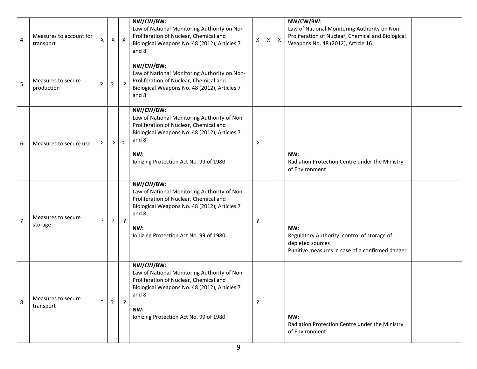| 4              | Measures to account for<br>transport | X       | X            | $\boldsymbol{\mathsf{X}}$ | NW/CW/BW:<br>Law of National Monitoring Authority on Non-<br>Proliferation of Nuclear, Chemical and<br>Biological Weapons No. 48 (2012), Articles 7<br>and 8                                                  | $\pmb{\mathsf{X}}$ | х | $\mathsf{X}$ | NW/CW/BW:<br>Law of National Monitoring Authority on Non-<br>Proliferation of Nuclear, Chemical and Biological<br>Weapons No. 48 (2012), Article 16 |
|----------------|--------------------------------------|---------|--------------|---------------------------|---------------------------------------------------------------------------------------------------------------------------------------------------------------------------------------------------------------|--------------------|---|--------------|-----------------------------------------------------------------------------------------------------------------------------------------------------|
| 5              | Measures to secure<br>production     | ?       | ?            | $\cdot$                   | NW/CW/BW:<br>Law of National Monitoring Authority on Non-<br>Proliferation of Nuclear, Chemical and<br>Biological Weapons No. 48 (2012), Articles 7<br>and 8                                                  |                    |   |              |                                                                                                                                                     |
| 6              | Measures to secure use               | $\cdot$ | ?            | $\cdot$                   | NW/CW/BW:<br>Law of National Monitoring Authority of Non-<br>Proliferation of Nuclear, Chemical and<br>Biological Weapons No. 48 (2012), Articles 7<br>and 8<br>NW:<br>Ionizing Protection Act No. 99 of 1980 | ?                  |   |              | NW:<br>Radiation Protection Centre under the Ministry<br>of Environment                                                                             |
| $\overline{7}$ | Measures to secure<br>storage        | ?       | $\cdot$      | $\cdot$                   | NW/CW/BW:<br>Law of National Monitoring Authority of Non-<br>Proliferation of Nuclear, Chemical and<br>Biological Weapons No. 48 (2012), Articles 7<br>and 8<br>NW:<br>Ionizing Protection Act No. 99 of 1980 | ŗ                  |   |              | NW:<br>Regulatory Authority: control of storage of<br>depleted sources<br>Punitive measures in case of a confirmed danger                           |
| 8              | Measures to secure<br>transport      | ?       | $\mathbf{P}$ | $\cdot$                   | NW/CW/BW:<br>Law of National Monitoring Authority of Non-<br>Proliferation of Nuclear, Chemical and<br>Biological Weapons No. 48 (2012), Articles 7<br>and 8<br>NW:<br>Ionizing Protection Act No. 99 of 1980 | ?                  |   |              | NW:<br>Radiation Protection Centre under the Ministry<br>of Environment                                                                             |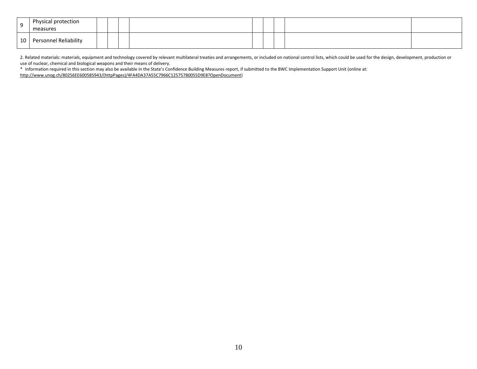| റ               | Physical protection<br>measures |  |  |  |  |  |
|-----------------|---------------------------------|--|--|--|--|--|
| 10 <sup>1</sup> | Personnel Reliability           |  |  |  |  |  |

2. Related materials: materials, equipment and technology covered by relevant multilateral treaties and arrangements, or included on national control lists, which could be used for the design, development, production or use of nuclear, chemical and biological weapons and their means of delivery.

\* Information required in this section may also be available in the State's Confidence Building Measures report, if submitted to the BWC Implementation Support Unit (online at:

[http://www.unog.ch/80256EE600585943/\(httpPages\)/4FA4DA37A55C7966C12575780055D9E8?OpenDocument\)](http://www.unog.ch/80256EE600585943/(httpPages)/4FA4DA37A55C7966C12575780055D9E8?OpenDocument)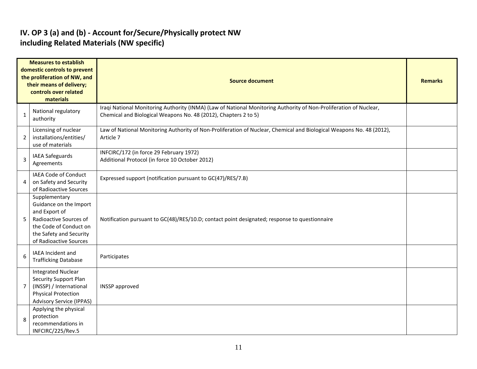#### **IV. OP 3 (a) and (b) - Account for/Secure/Physically protect NW including Related Materials (NW specific)**

|                | <b>Measures to establish</b><br>domestic controls to prevent<br>the proliferation of NW, and<br>their means of delivery;<br>controls over related<br>materials    | <b>Source document</b>                                                                                                                                                               | <b>Remarks</b> |
|----------------|-------------------------------------------------------------------------------------------------------------------------------------------------------------------|--------------------------------------------------------------------------------------------------------------------------------------------------------------------------------------|----------------|
| $\mathbf{1}$   | National regulatory<br>authority                                                                                                                                  | Iraqi National Monitoring Authority (INMA) (Law of National Monitoring Authority of Non-Proliferation of Nuclear,<br>Chemical and Biological Weapons No. 48 (2012), Chapters 2 to 5) |                |
| $\overline{2}$ | Licensing of nuclear<br>installations/entities/<br>use of materials                                                                                               | Law of National Monitoring Authority of Non-Proliferation of Nuclear, Chemical and Biological Weapons No. 48 (2012),<br>Article 7                                                    |                |
| $\overline{3}$ | IAEA Safeguards<br>Agreements                                                                                                                                     | INFCIRC/172 (in force 29 February 1972)<br>Additional Protocol (in force 10 October 2012)                                                                                            |                |
| 4              | IAEA Code of Conduct<br>on Safety and Security<br>of Radioactive Sources                                                                                          | Expressed support (notification pursuant to GC(47)/RES/7.B)                                                                                                                          |                |
| 5              | Supplementary<br>Guidance on the Import<br>and Export of<br>Radioactive Sources of<br>the Code of Conduct on<br>the Safety and Security<br>of Radioactive Sources | Notification pursuant to GC(48)/RES/10.D; contact point designated; response to questionnaire                                                                                        |                |
| 6              | <b>IAEA</b> Incident and<br><b>Trafficking Database</b>                                                                                                           | Participates                                                                                                                                                                         |                |
| $\overline{7}$ | <b>Integrated Nuclear</b><br><b>Security Support Plan</b><br>(INSSP) / International<br><b>Physical Protection</b><br><b>Advisory Service (IPPAS)</b>             | <b>INSSP</b> approved                                                                                                                                                                |                |
| 8              | Applying the physical<br>protection<br>recommendations in<br>INFCIRC/225/Rev.5                                                                                    |                                                                                                                                                                                      |                |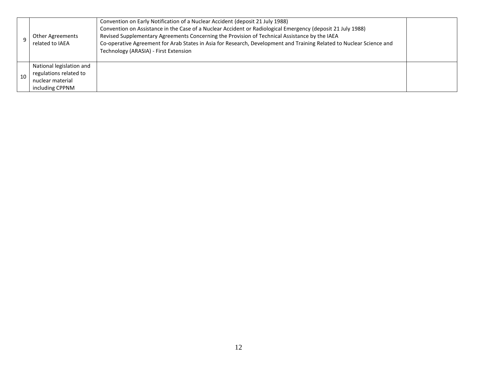|    | <b>Other Agreements</b><br>related to IAEA                                                | Convention on Early Notification of a Nuclear Accident (deposit 21 July 1988)<br>Convention on Assistance in the Case of a Nuclear Accident or Radiological Emergency (deposit 21 July 1988)<br>Revised Supplementary Agreements Concerning the Provision of Technical Assistance by the IAEA<br>Co-operative Agreement for Arab States in Asia for Research, Development and Training Related to Nuclear Science and<br>Technology (ARASIA) - First Extension |  |
|----|-------------------------------------------------------------------------------------------|----------------------------------------------------------------------------------------------------------------------------------------------------------------------------------------------------------------------------------------------------------------------------------------------------------------------------------------------------------------------------------------------------------------------------------------------------------------|--|
| 10 | National legislation and<br>regulations related to<br>nuclear material<br>including CPPNM |                                                                                                                                                                                                                                                                                                                                                                                                                                                                |  |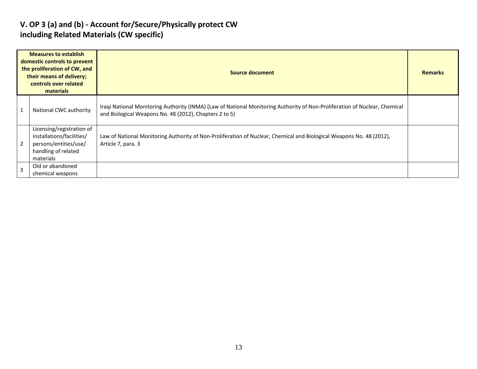#### **V. OP 3 (a) and (b) - Account for/Secure/Physically protect CW including Related Materials (CW specific)**

| <b>Measures to establish</b><br>domestic controls to prevent<br>the proliferation of CW, and<br>their means of delivery;<br>controls over related<br>materials |                                                                                                                     | Source document                                                                                                                                                                      |  |  |  |  |
|----------------------------------------------------------------------------------------------------------------------------------------------------------------|---------------------------------------------------------------------------------------------------------------------|--------------------------------------------------------------------------------------------------------------------------------------------------------------------------------------|--|--|--|--|
|                                                                                                                                                                | National CWC authority                                                                                              | Iraqi National Monitoring Authority (INMA) (Law of National Monitoring Authority of Non-Proliferation of Nuclear, Chemical<br>and Biological Weapons No. 48 (2012), Chapters 2 to 5) |  |  |  |  |
| $\overline{2}$                                                                                                                                                 | Licensing/registration of<br>installations/facilities/<br>persons/entities/use/<br>handling of related<br>materials | Law of National Monitoring Authority of Non-Proliferation of Nuclear, Chemical and Biological Weapons No. 48 (2012),<br>Article 7, para. 3                                           |  |  |  |  |
| $\overline{3}$                                                                                                                                                 | Old or abandoned<br>chemical weapons                                                                                |                                                                                                                                                                                      |  |  |  |  |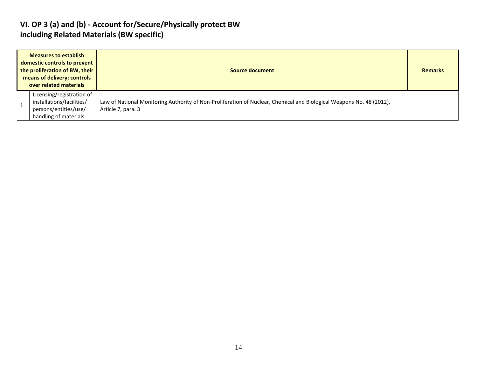#### **VI. OP 3 (a) and (b) - Account for/Secure/Physically protect BW including Related Materials (BW specific)**

| <b>Measures to establish</b><br>domestic controls to prevent<br>the proliferation of BW, their<br>means of delivery; controls<br>over related materials |  |                                                                                                          | Source document                                                                                                                            |  |  |  |  |  |
|---------------------------------------------------------------------------------------------------------------------------------------------------------|--|----------------------------------------------------------------------------------------------------------|--------------------------------------------------------------------------------------------------------------------------------------------|--|--|--|--|--|
|                                                                                                                                                         |  | Licensing/registration of<br>installations/facilities/<br>persons/entities/use/<br>handling of materials | Law of National Monitoring Authority of Non-Proliferation of Nuclear, Chemical and Biological Weapons No. 48 (2012),<br>Article 7, para. 3 |  |  |  |  |  |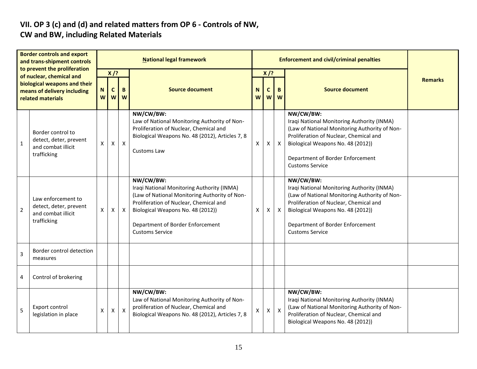#### **VII. OP 3 (c) and (d) and related matters from OP 6 - Controls of NW, CW and BW, including Related Materials**

| <b>Border controls and export</b><br>and trans-shipment controls<br>to prevent the proliferation |                                                                                                              | <b>National legal framework</b> |                                          |                           |                                                                                                                                                                                                                                                       |        | <b>Enforcement and civil/criminal penalties</b> |                           |                                                                                                                                                                                                                                                       |                |  |
|--------------------------------------------------------------------------------------------------|--------------------------------------------------------------------------------------------------------------|---------------------------------|------------------------------------------|---------------------------|-------------------------------------------------------------------------------------------------------------------------------------------------------------------------------------------------------------------------------------------------------|--------|-------------------------------------------------|---------------------------|-------------------------------------------------------------------------------------------------------------------------------------------------------------------------------------------------------------------------------------------------------|----------------|--|
|                                                                                                  | of nuclear, chemical and<br>biological weapons and their<br>means of delivery including<br>related materials |                                 | $X$ /?<br>$\mathbf{C}$<br>W <sub>l</sub> | B<br>W                    | <b>Source document</b>                                                                                                                                                                                                                                | N<br>W | $X$ /?<br>$\mathbf c$<br>W                      | B<br><b>W</b>             | <b>Source document</b>                                                                                                                                                                                                                                | <b>Remarks</b> |  |
| $\mathbf{1}$                                                                                     | Border control to<br>detect, deter, prevent<br>and combat illicit<br>trafficking                             | X.                              | X                                        | $\mathsf{X}$              | NW/CW/BW:<br>Law of National Monitoring Authority of Non-<br>Proliferation of Nuclear, Chemical and<br>Biological Weapons No. 48 (2012), Articles 7, 8<br>Customs Law                                                                                 | X      | X                                               | $\boldsymbol{\mathsf{X}}$ | NW/CW/BW:<br>Iraqi National Monitoring Authority (INMA)<br>(Law of National Monitoring Authority of Non-<br>Proliferation of Nuclear, Chemical and<br>Biological Weapons No. 48 (2012))<br>Department of Border Enforcement<br><b>Customs Service</b> |                |  |
| 2                                                                                                | Law enforcement to<br>detect, deter, prevent<br>and combat illicit<br>trafficking                            | X.                              | Х                                        | $\boldsymbol{\mathsf{X}}$ | NW/CW/BW:<br>Iraqi National Monitoring Authority (INMA)<br>(Law of National Monitoring Authority of Non-<br>Proliferation of Nuclear, Chemical and<br>Biological Weapons No. 48 (2012))<br>Department of Border Enforcement<br><b>Customs Service</b> | Χ      | x                                               | $\boldsymbol{X}$          | NW/CW/BW:<br>Iraqi National Monitoring Authority (INMA)<br>(Law of National Monitoring Authority of Non-<br>Proliferation of Nuclear, Chemical and<br>Biological Weapons No. 48 (2012))<br>Department of Border Enforcement<br><b>Customs Service</b> |                |  |
| 3                                                                                                | Border control detection<br>measures                                                                         |                                 |                                          |                           |                                                                                                                                                                                                                                                       |        |                                                 |                           |                                                                                                                                                                                                                                                       |                |  |
| 4                                                                                                | Control of brokering                                                                                         |                                 |                                          |                           |                                                                                                                                                                                                                                                       |        |                                                 |                           |                                                                                                                                                                                                                                                       |                |  |
| 5                                                                                                | Export control<br>legislation in place                                                                       | X                               | X                                        | $\mathsf{x}$              | NW/CW/BW:<br>Law of National Monitoring Authority of Non-<br>proliferation of Nuclear, Chemical and<br>Biological Weapons No. 48 (2012), Articles 7, 8                                                                                                | X      | Χ                                               | $\mathsf{x}$              | NW/CW/BW:<br>Iraqi National Monitoring Authority (INMA)<br>(Law of National Monitoring Authority of Non-<br>Proliferation of Nuclear, Chemical and<br>Biological Weapons No. 48 (2012))                                                               |                |  |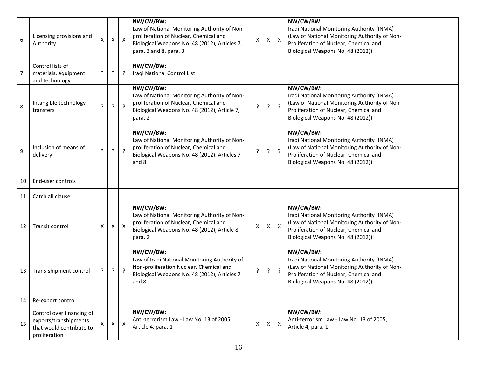| 6  | Licensing provisions and<br>Authority                                                           | $\pmb{\times}$ | Χ | $\mathsf{X}$              | NW/CW/BW:<br>Law of National Monitoring Authority of Non-<br>proliferation of Nuclear, Chemical and<br>Biological Weapons No. 48 (2012), Articles 7,<br>para. 3 and 8, para. 3 | $\boldsymbol{\mathsf{x}}$ | Χ              | $\boldsymbol{\mathsf{X}}$ | NW/CW/BW:<br>Iraqi National Monitoring Authority (INMA)<br>(Law of National Monitoring Authority of Non-<br>Proliferation of Nuclear, Chemical and<br>Biological Weapons No. 48 (2012)) |
|----|-------------------------------------------------------------------------------------------------|----------------|---|---------------------------|--------------------------------------------------------------------------------------------------------------------------------------------------------------------------------|---------------------------|----------------|---------------------------|-----------------------------------------------------------------------------------------------------------------------------------------------------------------------------------------|
| 7  | Control lists of<br>materials, equipment<br>and technology                                      | ŗ              | ŗ | ?                         | NW/CW/BW:<br>Iraqi National Control List                                                                                                                                       |                           |                |                           |                                                                                                                                                                                         |
| 8  | Intangible technology<br>transfers                                                              | ?              | ? | $\cdot$                   | NW/CW/BW:<br>Law of National Monitoring Authority of Non-<br>proliferation of Nuclear, Chemical and<br>Biological Weapons No. 48 (2012), Article 7,<br>para. 2                 | ?                         | ?              | $\cdot$                   | NW/CW/BW:<br>Iraqi National Monitoring Authority (INMA)<br>(Law of National Monitoring Authority of Non-<br>Proliferation of Nuclear, Chemical and<br>Biological Weapons No. 48 (2012)) |
| 9  | Inclusion of means of<br>delivery                                                               | ?              | ? | $\overline{?}$            | NW/CW/BW:<br>Law of National Monitoring Authority of Non-<br>proliferation of Nuclear, Chemical and<br>Biological Weapons No. 48 (2012), Articles 7<br>and 8                   | $\cdot$                   | ?              | $\overline{?}$            | NW/CW/BW:<br>Iraqi National Monitoring Authority (INMA)<br>(Law of National Monitoring Authority of Non-<br>Proliferation of Nuclear, Chemical and<br>Biological Weapons No. 48 (2012)) |
| 10 | End-user controls                                                                               |                |   |                           |                                                                                                                                                                                |                           |                |                           |                                                                                                                                                                                         |
| 11 | Catch all clause                                                                                |                |   |                           |                                                                                                                                                                                |                           |                |                           |                                                                                                                                                                                         |
| 12 | Transit control                                                                                 | X              | X | $\boldsymbol{X}$          | NW/CW/BW:<br>Law of National Monitoring Authority of Non-<br>proliferation of Nuclear, Chemical and<br>Biological Weapons No. 48 (2012), Article 8<br>para. 2                  | Χ                         | X.             | $\boldsymbol{\mathsf{X}}$ | NW/CW/BW:<br>Iraqi National Monitoring Authority (INMA)<br>(Law of National Monitoring Authority of Non-<br>Proliferation of Nuclear, Chemical and<br>Biological Weapons No. 48 (2012)) |
| 13 | Trans-shipment control                                                                          | ?              | ? | $\overline{?}$            | NW/CW/BW:<br>Law of Iraqi National Monitoring Authority of<br>Non-proliferation Nuclear, Chemical and<br>Biological Weapons No. 48 (2012), Articles 7<br>and 8                 | ?                         | ?              | $\cdot$                   | NW/CW/BW:<br>Iraqi National Monitoring Authority (INMA)<br>(Law of National Monitoring Authority of Non-<br>Proliferation of Nuclear, Chemical and<br>Biological Weapons No. 48 (2012)) |
| 14 | Re-export control                                                                               |                |   |                           |                                                                                                                                                                                |                           |                |                           |                                                                                                                                                                                         |
| 15 | Control over financing of<br>exports/transhipments<br>that would contribute to<br>proliferation |                | X | $\boldsymbol{\mathsf{X}}$ | NW/CW/BW:<br>Anti-terrorism Law - Law No. 13 of 2005,<br>Article 4, para. 1                                                                                                    | $\pmb{\times}$            | $\mathsf{X}^-$ | $\boldsymbol{\mathsf{X}}$ | NW/CW/BW:<br>Anti-terrorism Law - Law No. 13 of 2005,<br>Article 4, para. 1                                                                                                             |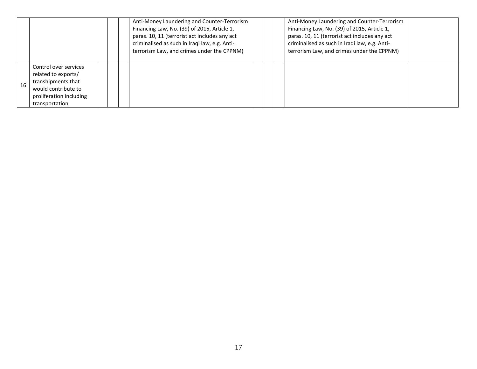|    |                                                                                                                                        | Anti-Money Laundering and Counter-Terrorism<br>Financing Law, No. (39) of 2015, Article 1,<br>paras. 10, 11 (terrorist act includes any act<br>criminalised as such in Iraqi law, e.g. Anti-<br>terrorism Law, and crimes under the CPPNM) |  | Anti-Money Laundering and Counter-Terrorism<br>Financing Law, No. (39) of 2015, Article 1,<br>paras. 10, 11 (terrorist act includes any act<br>criminalised as such in Iraqi law, e.g. Anti-<br>terrorism Law, and crimes under the CPPNM) |  |
|----|----------------------------------------------------------------------------------------------------------------------------------------|--------------------------------------------------------------------------------------------------------------------------------------------------------------------------------------------------------------------------------------------|--|--------------------------------------------------------------------------------------------------------------------------------------------------------------------------------------------------------------------------------------------|--|
| 16 | Control over services<br>related to exports/<br>transhipments that<br>would contribute to<br>proliferation including<br>transportation |                                                                                                                                                                                                                                            |  |                                                                                                                                                                                                                                            |  |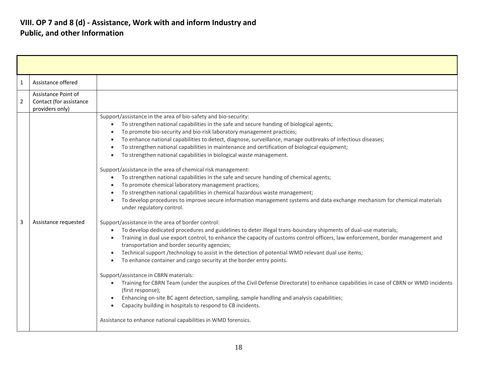| 1              | Assistance offered                                                |                                                                                                                                                                                                                                                                                                                                                                                                                                                                                                                                                                                                                                                                                                                                                                                                                                                                                                                                                                                                                 |
|----------------|-------------------------------------------------------------------|-----------------------------------------------------------------------------------------------------------------------------------------------------------------------------------------------------------------------------------------------------------------------------------------------------------------------------------------------------------------------------------------------------------------------------------------------------------------------------------------------------------------------------------------------------------------------------------------------------------------------------------------------------------------------------------------------------------------------------------------------------------------------------------------------------------------------------------------------------------------------------------------------------------------------------------------------------------------------------------------------------------------|
| $\overline{2}$ | Assistance Point of<br>Contact (for assistance<br>providers only) |                                                                                                                                                                                                                                                                                                                                                                                                                                                                                                                                                                                                                                                                                                                                                                                                                                                                                                                                                                                                                 |
|                |                                                                   | Support/assistance in the area of bio-safety and bio-security:<br>To strengthen national capabilities in the safe and secure handing of biological agents;<br>$\bullet$<br>To promote bio-security and bio-risk laboratory management practices;<br>To enhance national capabilities to detect, diagnose, surveillance, manage outbreaks of infectious diseases;<br>To strengthen national capabilities in maintenance and certification of biological equipment;<br>To strengthen national capabilities in biological waste management.<br>Support/assistance in the area of chemical risk management:<br>To strengthen national capabilities in the safe and secure handing of chemical agents;<br>$\bullet$<br>To promote chemical laboratory management practices;<br>To strengthen national capabilities in chemical hazardous waste management;<br>To develop procedures to improve secure information management systems and data exchange mechanism for chemical materials<br>under regulatory control. |
| 3              | Assistance requested                                              | Support/assistance in the area of border control:<br>To develop dedicated procedures and guidelines to deter illegal trans-boundary shipments of dual-use materials;<br>Training in dual use export control, to enhance the capacity of customs control officers, law enforcement, border management and<br>transportation and border security agencies;<br>Technical support /technology to assist in the detection of potential WMD relevant dual use items;<br>To enhance container and cargo security at the border entry points.<br>Support/assistance in CBRN materials:<br>Training for CBRN Team (under the auspices of the Civil Defense Directorate) to enhance capabilities in case of CBRN or WMD incidents<br>$\bullet$<br>(first response);<br>Enhancing on-site BC agent detection, sampling, sample handling and analysis capabilities;<br>Capacity building in hospitals to respond to CB incidents.<br>Assistance to enhance national capabilities in WMD forensics.                          |